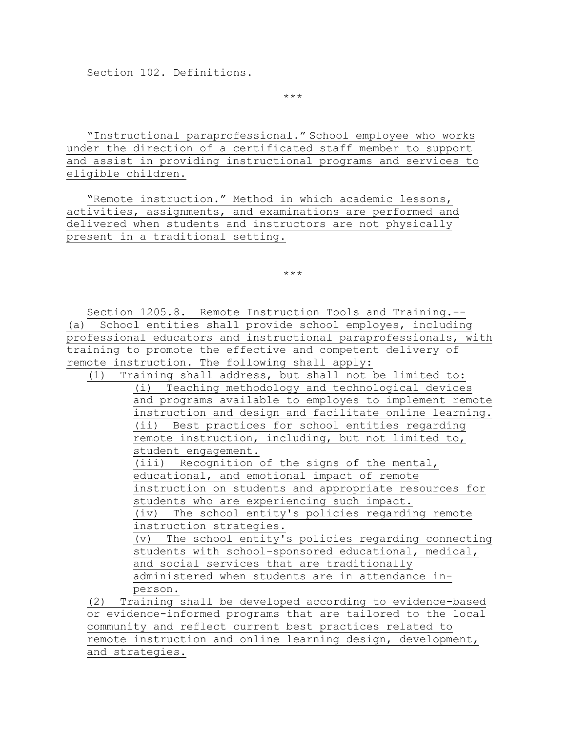Section 102. Definitions.

\*\*\*

"Instructional paraprofessional." School employee who works under the direction of a certificated staff member to support and assist in providing instructional programs and services to eligible children.

"Remote instruction." Method in which academic lessons, activities, assignments, and examinations are performed and delivered when students and instructors are not physically present in a traditional setting.

\*\*\*

Section 1205.8. Remote Instruction Tools and Training.-- (a) School entities shall provide school employes, including professional educators and instructional paraprofessionals, with training to promote the effective and competent delivery of remote instruction. The following shall apply:

(1) Training shall address, but shall not be limited to: (i) Teaching methodology and technological devices and programs available to employes to implement remote instruction and design and facilitate online learning. (ii) Best practices for school entities regarding remote instruction, including, but not limited to, student engagement.

(iii) Recognition of the signs of the mental, educational, and emotional impact of remote instruction on students and appropriate resources for students who are experiencing such impact. (iv) The school entity's policies regarding remote instruction strategies.

(v) The school entity's policies regarding connecting students with school-sponsored educational, medical, and social services that are traditionally administered when students are in attendance inperson.

(2) Training shall be developed according to evidence-based or evidence-informed programs that are tailored to the local community and reflect current best practices related to remote instruction and online learning design, development, and strategies.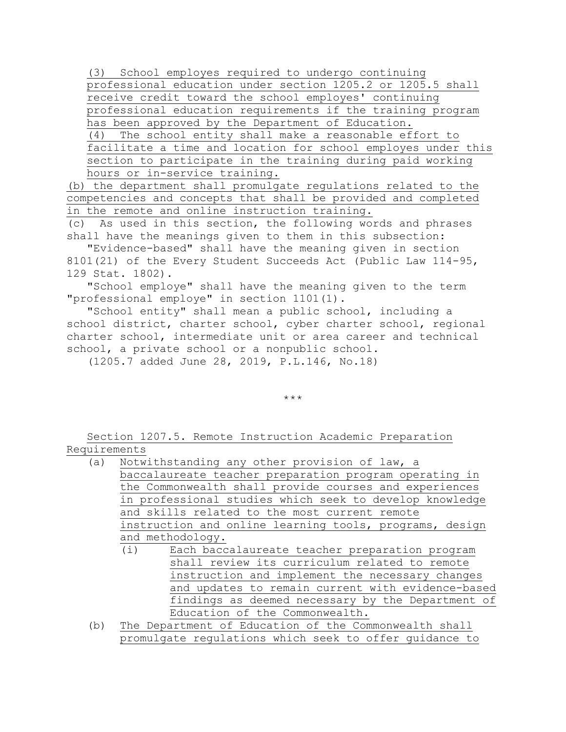(3) School employes required to undergo continuing professional education under section 1205.2 or 1205.5 shall receive credit toward the school employes' continuing professional education requirements if the training program has been approved by the Department of Education. (4) The school entity shall make a reasonable effort to facilitate a time and location for school employes under this section to participate in the training during paid working  $\overline{\overline{\phantom{a}}\phantom{a}}$  hours or in-service training.

(b) the department shall promulgate regulations related to the competencies and concepts that shall be provided and completed in the remote and online instruction training.

(c) As used in this section, the following words and phrases shall have the meanings given to them in this subsection:

"Evidence-based" shall have the meaning given in section 8101(21) of the Every Student Succeeds Act (Public Law 114-95, 129 Stat. 1802).

"School employe" shall have the meaning given to the term "professional employe" in section 1101(1).

"School entity" shall mean a public school, including a school district, charter school, cyber charter school, regional charter school, intermediate unit or area career and technical school, a private school or a nonpublic school.

(1205.7 added June 28, 2019, P.L.146, No.18)

\*\*\*

Section 1207.5. Remote Instruction Academic Preparation Requirements

- (a) Notwithstanding any other provision of law, a baccalaureate teacher preparation program operating in the Commonwealth shall provide courses and experiences in professional studies which seek to develop knowledge and skills related to the most current remote instruction and online learning tools, programs, design and methodology.
	- (i) Each baccalaureate teacher preparation program shall review its curriculum related to remote instruction and implement the necessary changes and updates to remain current with evidence-based findings as deemed necessary by the Department of Education of the Commonwealth.
- (b) The Department of Education of the Commonwealth shall promulgate regulations which seek to offer guidance to